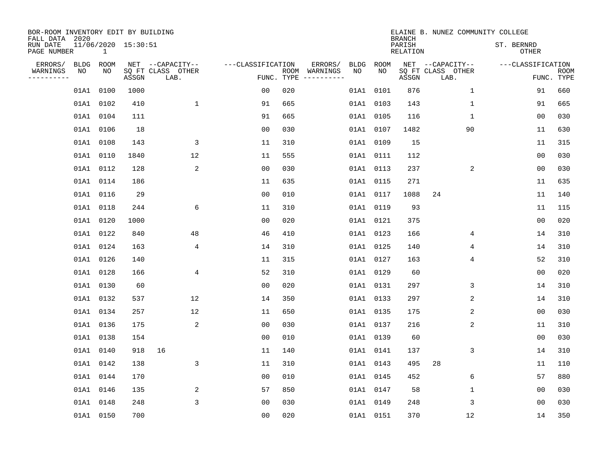| BOR-ROOM INVENTORY EDIT BY BUILDING<br>FALL DATA 2020 |                                     |       |                           |                   |            |                              |             |             | <b>BRANCH</b>             | ELAINE B. NUNEZ COMMUNITY COLLEGE |                   |                |             |
|-------------------------------------------------------|-------------------------------------|-------|---------------------------|-------------------|------------|------------------------------|-------------|-------------|---------------------------|-----------------------------------|-------------------|----------------|-------------|
| RUN DATE<br>PAGE NUMBER                               | 11/06/2020 15:30:51<br>$\mathbf{1}$ |       |                           |                   |            |                              |             |             | PARISH<br><b>RELATION</b> |                                   | ST. BERNRD        | <b>OTHER</b>   |             |
| ERRORS/<br><b>BLDG</b>                                | ROOM                                |       | NET --CAPACITY--          | ---CLASSIFICATION |            | ERRORS/                      | <b>BLDG</b> | <b>ROOM</b> |                           | NET --CAPACITY--                  | ---CLASSIFICATION |                |             |
| WARNINGS<br>NO<br>----------                          | NO                                  | ASSGN | SQ FT CLASS OTHER<br>LAB. |                   | FUNC. TYPE | ROOM WARNINGS<br>----------- | NO          | NO          | ASSGN                     | SQ FT CLASS OTHER<br>LAB.         |                   | FUNC. TYPE     | <b>ROOM</b> |
| 01A1                                                  | 0100                                | 1000  |                           | 00                | 020        |                              | 01A1        | 0101        | 876                       | $\mathbf 1$                       |                   | 91             | 660         |
|                                                       | 01A1 0102                           | 410   | $\mathbf 1$               | 91                | 665        |                              |             | 01A1 0103   | 143                       | 1                                 |                   | 91             | 665         |
|                                                       | 01A1 0104                           | 111   |                           | 91                | 665        |                              |             | 01A1 0105   | 116                       | $\mathbf 1$                       |                   | 0 <sub>0</sub> | 030         |
|                                                       | 01A1 0106                           | 18    |                           | 0 <sub>0</sub>    | 030        |                              |             | 01A1 0107   | 1482                      | 90                                |                   | 11             | 630         |
|                                                       | 01A1 0108                           | 143   | 3                         | 11                | 310        |                              |             | 01A1 0109   | 15                        |                                   |                   | 11             | 315         |
|                                                       | 01A1 0110                           | 1840  | 12                        | 11                | 555        |                              |             | 01A1 0111   | 112                       |                                   |                   | 0 <sub>0</sub> | 030         |
|                                                       | 01A1 0112                           | 128   | 2                         | 0 <sub>0</sub>    | 030        |                              |             | 01A1 0113   | 237                       | 2                                 |                   | 00             | 030         |
|                                                       | 01A1 0114                           | 186   |                           | 11                | 635        |                              |             | 01A1 0115   | 271                       |                                   |                   | 11             | 635         |
|                                                       | 01A1 0116                           | 29    |                           | 0 <sub>0</sub>    | 010        |                              |             | 01A1 0117   | 1088                      | 24                                |                   | 11             | 140         |
|                                                       | 01A1 0118                           | 244   | 6                         | 11                | 310        |                              |             | 01A1 0119   | 93                        |                                   |                   | 11             | 115         |
|                                                       | 01A1 0120                           | 1000  |                           | 0 <sub>0</sub>    | 020        |                              |             | 01A1 0121   | 375                       |                                   |                   | 0 <sub>0</sub> | 020         |
|                                                       | 01A1 0122                           | 840   | 48                        | 46                | 410        |                              |             | 01A1 0123   | 166                       | 4                                 |                   | 14             | 310         |
|                                                       | 01A1 0124                           | 163   | 4                         | 14                | 310        |                              |             | 01A1 0125   | 140                       | 4                                 |                   | 14             | 310         |
|                                                       | 01A1 0126                           | 140   |                           | 11                | 315        |                              |             | 01A1 0127   | 163                       | 4                                 |                   | 52             | 310         |
|                                                       | 01A1 0128                           | 166   | 4                         | 52                | 310        |                              |             | 01A1 0129   | 60                        |                                   |                   | 0 <sub>0</sub> | 020         |
|                                                       | 01A1 0130                           | 60    |                           | 00                | 020        |                              |             | 01A1 0131   | 297                       | 3                                 |                   | 14             | 310         |
|                                                       | 01A1 0132                           | 537   | 12                        | 14                | 350        |                              |             | 01A1 0133   | 297                       | 2                                 |                   | 14             | 310         |
|                                                       | 01A1 0134                           | 257   | 12                        | 11                | 650        |                              |             | 01A1 0135   | 175                       | 2                                 |                   | 0 <sub>0</sub> | 030         |
|                                                       | 01A1 0136                           | 175   | 2                         | 0 <sub>0</sub>    | 030        |                              |             | 01A1 0137   | 216                       | 2                                 |                   | 11             | 310         |
|                                                       | 01A1 0138                           | 154   |                           | 0 <sub>0</sub>    | 010        |                              |             | 01A1 0139   | 60                        |                                   |                   | 0 <sub>0</sub> | 030         |
|                                                       | 01A1 0140                           | 918   | 16                        | 11                | 140        |                              |             | 01A1 0141   | 137                       | 3                                 |                   | 14             | 310         |
|                                                       | 01A1 0142                           | 138   | 3                         | 11                | 310        |                              |             | 01A1 0143   | 495                       | 28                                |                   | 11             | 110         |
|                                                       | 01A1 0144                           | 170   |                           | 0 <sub>0</sub>    | 010        |                              |             | 01A1 0145   | 452                       | 6                                 |                   | 57             | 880         |
|                                                       | 01A1 0146                           | 135   | 2                         | 57                | 850        |                              |             | 01A1 0147   | 58                        | 1                                 |                   | 0 <sub>0</sub> | 030         |
|                                                       | 01A1 0148                           | 248   | 3                         | 0 <sub>0</sub>    | 030        |                              |             | 01A1 0149   | 248                       | 3                                 |                   | 00             | 030         |
|                                                       | 01A1 0150                           | 700   |                           | 0 <sub>0</sub>    | 020        |                              |             | 01A1 0151   | 370                       | 12                                |                   | 14             | 350         |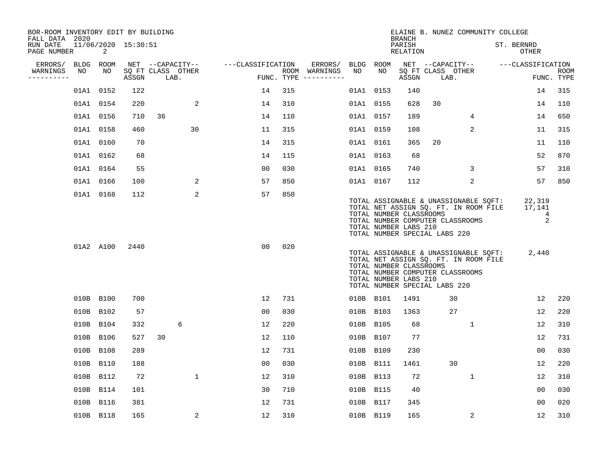| BOR-ROOM INVENTORY EDIT BY BUILDING<br>FALL DATA 2020 |           |           |                     |                   |             |                   |     |                                      |           |           | <b>BRANCH</b>                                                                     |      | ELAINE B. NUNEZ COMMUNITY COLLEGE                                                                                  |            |                            |                    |
|-------------------------------------------------------|-----------|-----------|---------------------|-------------------|-------------|-------------------|-----|--------------------------------------|-----------|-----------|-----------------------------------------------------------------------------------|------|--------------------------------------------------------------------------------------------------------------------|------------|----------------------------|--------------------|
| RUN DATE<br>PAGE NUMBER                               |           | 2         | 11/06/2020 15:30:51 |                   |             |                   |     |                                      |           |           | PARISH<br>RELATION                                                                |      |                                                                                                                    | ST. BERNRD | OTHER                      |                    |
| ERRORS/                                               |           | BLDG ROOM |                     | NET --CAPACITY--  |             | ---CLASSIFICATION |     | ERRORS/                              | BLDG ROOM |           |                                                                                   |      | NET --CAPACITY--                                                                                                   |            | ---CLASSIFICATION          |                    |
| WARNINGS<br>----------                                | NO        | NO        | ASSGN               | SQ FT CLASS OTHER | LAB.        |                   |     | ROOM WARNINGS<br>FUNC. TYPE $------$ | NO        | NO        | ASSGN                                                                             | LAB. | SQ FT CLASS OTHER                                                                                                  |            |                            | ROOM<br>FUNC. TYPE |
|                                                       |           | 01A1 0152 | 122                 |                   |             | 14                | 315 |                                      |           | 01A1 0153 | 140                                                                               |      |                                                                                                                    |            | 14                         | 315                |
|                                                       |           | 01A1 0154 | 220                 |                   | 2           | 14                | 310 |                                      |           | 01A1 0155 | 628                                                                               | 30   |                                                                                                                    |            | 14                         | 110                |
|                                                       |           | 01A1 0156 | 710                 | 36                |             | 14                | 110 |                                      |           | 01A1 0157 | 189                                                                               |      | $4\overline{ }$                                                                                                    |            | 14                         | 650                |
|                                                       |           | 01A1 0158 | 460                 |                   | 30          | 11                | 315 |                                      |           | 01A1 0159 | 108                                                                               |      | 2                                                                                                                  |            | 11                         | 315                |
|                                                       |           | 01A1 0160 | 70                  |                   |             | 14                | 315 |                                      |           | 01A1 0161 | 365                                                                               | 20   |                                                                                                                    |            | 11                         | 110                |
|                                                       |           | 01A1 0162 | 68                  |                   |             | 14                | 115 |                                      |           | 01A1 0163 | 68                                                                                |      |                                                                                                                    |            | 52                         | 870                |
|                                                       |           | 01A1 0164 | 55                  |                   |             | 00                | 030 |                                      |           | 01A1 0165 | 740                                                                               |      | 3                                                                                                                  |            | 57                         | 310                |
|                                                       |           | 01A1 0166 | 100                 |                   | 2           | 57                | 850 |                                      |           | 01A1 0167 | 112                                                                               |      | 2                                                                                                                  |            | 57                         | 850                |
|                                                       |           | 01A1 0168 | 112                 |                   | 2           | 57                | 850 |                                      |           |           | TOTAL NUMBER CLASSROOMS<br>TOTAL NUMBER LABS 210<br>TOTAL NUMBER SPECIAL LABS 220 |      | TOTAL ASSIGNABLE & UNASSIGNABLE SQFT:<br>TOTAL NET ASSIGN SQ. FT. IN ROOM FILE<br>TOTAL NUMBER COMPUTER CLASSROOMS |            | 22,319<br>17,141<br>4<br>2 |                    |
|                                                       |           | 01A2 A100 | 2440                |                   |             | 0 <sub>0</sub>    | 020 |                                      |           |           | TOTAL NUMBER CLASSROOMS<br>TOTAL NUMBER LABS 210<br>TOTAL NUMBER SPECIAL LABS 220 |      | TOTAL ASSIGNABLE & UNASSIGNABLE SQFT:<br>TOTAL NET ASSIGN SO. FT. IN ROOM FILE<br>TOTAL NUMBER COMPUTER CLASSROOMS |            | 2,440                      |                    |
|                                                       |           | 010B B100 | 700                 |                   |             | 12                | 731 |                                      |           | 010B B101 | 1491                                                                              |      | 30                                                                                                                 |            | 12                         | 220                |
|                                                       |           | 010B B102 | 57                  |                   |             | 00                | 030 |                                      |           | 010B B103 | 1363                                                                              |      | 27                                                                                                                 |            | 12                         | 220                |
|                                                       |           | 010B B104 | 332                 |                   | 6           | 12                | 220 |                                      |           | 010B B105 | 68                                                                                |      | $\mathbf{1}$                                                                                                       |            | 12                         | 310                |
|                                                       |           | 010B B106 | 527                 | 30                |             | 12                | 110 |                                      |           | 010B B107 | 77                                                                                |      |                                                                                                                    |            | 12                         | 731                |
|                                                       |           | 010B B108 | 289                 |                   |             | 12                | 731 |                                      |           | 010B B109 | 230                                                                               |      |                                                                                                                    |            | 0 <sub>0</sub>             | 030                |
|                                                       |           | 010B B110 | 188                 |                   |             | 00                | 030 |                                      |           | 010B B111 | 1461                                                                              |      | 30                                                                                                                 |            | 12                         | 220                |
|                                                       |           | 010B B112 | 72                  |                   | $\mathbf 1$ | 12                | 310 |                                      |           | 010B B113 | 72                                                                                |      | $\mathbf{1}$                                                                                                       |            | 12                         | 310                |
|                                                       |           | 010B B114 | 101                 |                   |             | 30                | 710 |                                      |           | 010B B115 | 40                                                                                |      |                                                                                                                    |            | 0 <sub>0</sub>             | 030                |
|                                                       | 010B B116 |           | 381                 |                   |             | 12                | 731 |                                      |           | 010B B117 | 345                                                                               |      |                                                                                                                    |            | 00                         | 020                |
|                                                       |           | 010B B118 | 165                 |                   | 2           | 12                | 310 |                                      |           | 010B B119 | 165                                                                               |      | 2                                                                                                                  |            | 12                         | 310                |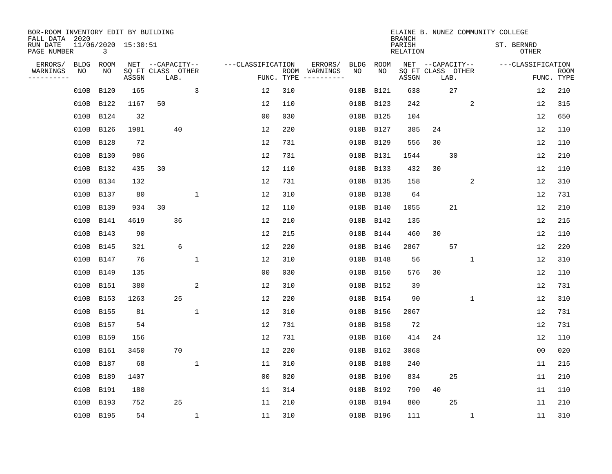| BOR-ROOM INVENTORY EDIT BY BUILDING<br>FALL DATA 2020 |           |                     |                           |              |                   |            |                              |             |             | <b>BRANCH</b>             |    |                           | ELAINE B. NUNEZ COMMUNITY COLLEGE |                            |                           |
|-------------------------------------------------------|-----------|---------------------|---------------------------|--------------|-------------------|------------|------------------------------|-------------|-------------|---------------------------|----|---------------------------|-----------------------------------|----------------------------|---------------------------|
| RUN DATE<br>PAGE NUMBER                               | 3         | 11/06/2020 15:30:51 |                           |              |                   |            |                              |             |             | PARISH<br><b>RELATION</b> |    |                           |                                   | ST. BERNRD<br><b>OTHER</b> |                           |
| ERRORS/<br><b>BLDG</b>                                | ROOM      |                     | NET --CAPACITY--          |              | ---CLASSIFICATION |            | ERRORS/                      | <b>BLDG</b> | <b>ROOM</b> |                           |    | NET --CAPACITY--          |                                   | ---CLASSIFICATION          |                           |
| WARNINGS<br>NO<br>----------                          | NO        | ASSGN               | SQ FT CLASS OTHER<br>LAB. |              |                   | FUNC. TYPE | ROOM WARNINGS<br>----------- | NO          | NO          | ASSGN                     |    | SQ FT CLASS OTHER<br>LAB. |                                   |                            | <b>ROOM</b><br>FUNC. TYPE |
| 010B                                                  | B120      | 165                 |                           | 3            | 12                | 310        |                              | 010B        | B121        | 638                       |    | 27                        |                                   | 12                         | 210                       |
|                                                       | 010B B122 | 1167                | 50                        |              | 12                | 110        |                              |             | 010B B123   | 242                       |    | 2                         |                                   | 12                         | 315                       |
|                                                       | 010B B124 | 32                  |                           |              | 0 <sub>0</sub>    | 030        |                              |             | 010B B125   | 104                       |    |                           |                                   | 12                         | 650                       |
|                                                       | 010B B126 | 1981                | 40                        |              | 12                | 220        |                              |             | 010B B127   | 385                       | 24 |                           |                                   | 12                         | 110                       |
| 010B                                                  | B128      | 72                  |                           |              | 12                | 731        |                              |             | 010B B129   | 556                       | 30 |                           |                                   | 12                         | 110                       |
|                                                       | 010B B130 | 986                 |                           |              | 12                | 731        |                              |             | 010B B131   | 1544                      |    | 30                        |                                   | 12                         | 210                       |
|                                                       | 010B B132 | 435                 | 30                        |              | 12                | 110        |                              |             | 010B B133   | 432                       | 30 |                           |                                   | 12                         | 110                       |
|                                                       | 010B B134 | 132                 |                           |              | 12                | 731        |                              |             | 010B B135   | 158                       |    | 2                         |                                   | 12                         | 310                       |
|                                                       | 010B B137 | 80                  |                           | $\mathbf{1}$ | 12                | 310        |                              | 010B        | B138        | 64                        |    |                           |                                   | 12                         | 731                       |
|                                                       | 010B B139 | 934                 | 30                        |              | 12                | 110        |                              |             | 010B B140   | 1055                      |    | 21                        |                                   | 12                         | 210                       |
|                                                       | 010B B141 | 4619                | 36                        |              | 12                | 210        |                              |             | 010B B142   | 135                       |    |                           |                                   | 12                         | 215                       |
|                                                       | 010B B143 | 90                  |                           |              | 12                | 215        |                              |             | 010B B144   | 460                       | 30 |                           |                                   | 12                         | 110                       |
|                                                       | 010B B145 | 321                 | 6                         |              | 12                | 220        |                              | 010B        | B146        | 2867                      |    | 57                        |                                   | 12                         | 220                       |
|                                                       | 010B B147 | 76                  |                           | $\mathbf 1$  | 12                | 310        |                              |             | 010B B148   | 56                        |    | $\mathbf 1$               |                                   | 12                         | 310                       |
|                                                       | 010B B149 | 135                 |                           |              | 0 <sub>0</sub>    | 030        |                              |             | 010B B150   | 576                       | 30 |                           |                                   | 12                         | 110                       |
|                                                       | 010B B151 | 380                 |                           | 2            | 12                | 310        |                              |             | 010B B152   | 39                        |    |                           |                                   | 12                         | 731                       |
|                                                       | 010B B153 | 1263                | 25                        |              | 12                | 220        |                              |             | 010B B154   | 90                        |    | 1                         |                                   | 12                         | 310                       |
|                                                       | 010B B155 | 81                  |                           | $\mathbf{1}$ | 12                | 310        |                              |             | 010B B156   | 2067                      |    |                           |                                   | 12                         | 731                       |
|                                                       | 010B B157 | 54                  |                           |              | 12                | 731        |                              |             | 010B B158   | 72                        |    |                           |                                   | 12                         | 731                       |
|                                                       | 010B B159 | 156                 |                           |              | 12                | 731        |                              |             | 010B B160   | 414                       | 24 |                           |                                   | 12                         | 110                       |
|                                                       | 010B B161 | 3450                | 70                        |              | 12                | 220        |                              |             | 010B B162   | 3068                      |    |                           |                                   | 0 <sub>0</sub>             | 020                       |
|                                                       | 010B B187 | 68                  |                           | $\mathbf{1}$ | 11                | 310        |                              |             | 010B B188   | 240                       |    |                           |                                   | 11                         | 215                       |
|                                                       | 010B B189 | 1407                |                           |              | 0 <sub>0</sub>    | 020        |                              |             | 010B B190   | 834                       |    | 25                        |                                   | 11                         | 210                       |
|                                                       | 010B B191 | 180                 |                           |              | 11                | 314        |                              |             | 010B B192   | 790                       | 40 |                           |                                   | 11                         | 110                       |
|                                                       | 010B B193 | 752                 | 25                        |              | 11                | 210        |                              |             | 010B B194   | 800                       |    | 25                        |                                   | 11                         | 210                       |
|                                                       | 010B B195 | 54                  |                           | $\mathbf 1$  | 11                | 310        |                              |             | 010B B196   | 111                       |    | $\mathbf 1$               |                                   | 11                         | 310                       |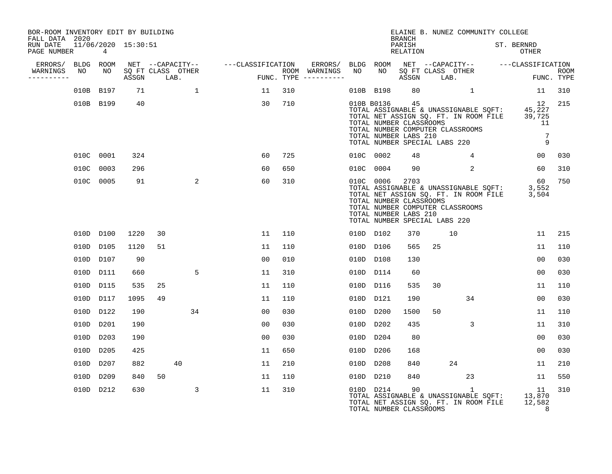| BOR-ROOM INVENTORY EDIT BY BUILDING<br>FALL DATA 2020 |           |                     |                           |    |                                    |     |                                      |           |                                                                | <b>BRANCH</b>      | ELAINE B. NUNEZ COMMUNITY COLLEGE                                                                                                                                 |                                 |             |
|-------------------------------------------------------|-----------|---------------------|---------------------------|----|------------------------------------|-----|--------------------------------------|-----------|----------------------------------------------------------------|--------------------|-------------------------------------------------------------------------------------------------------------------------------------------------------------------|---------------------------------|-------------|
| RUN DATE<br>PAGE NUMBER                               | 4         | 11/06/2020 15:30:51 |                           |    |                                    |     |                                      |           |                                                                | PARISH<br>RELATION |                                                                                                                                                                   | ST. BERNRD<br>OTHER             |             |
| ERRORS/ BLDG ROOM<br>WARNINGS NO<br>----------        | NO        | ASSGN               | SQ FT CLASS OTHER<br>LAB. |    | NET --CAPACITY-- ---CLASSIFICATION |     | ROOM WARNINGS<br>FUNC. TYPE $------$ | NO        | NO <sub>1</sub>                                                | ASSGN              | ERRORS/ BLDG ROOM NET --CAPACITY-- ---CLASSIFICATION<br>SQ FT CLASS OTHER<br>LAB.                                                                                 | FUNC. TYPE                      | <b>ROOM</b> |
|                                                       | 010B B197 | 71                  |                           | 1  | 11                                 | 310 |                                      |           | 010B B198                                                      | 80                 |                                                                                                                                                                   | 11                              | 310         |
|                                                       | 010B B199 | 40                  |                           |    | 30                                 | 710 |                                      |           | 010B B0136<br>TOTAL NUMBER CLASSROOMS<br>TOTAL NUMBER LABS 210 | 45                 | TOTAL ASSIGNABLE & UNASSIGNABLE SQFT: 45,227<br>TOTAL NET ASSIGN SQ. FT. IN ROOM FILE 39,725<br>TOTAL NUMBER COMPUTER CLASSROOMS<br>TOTAL NUMBER SPECIAL LABS 220 | 12<br>11<br>$\overline{7}$<br>9 | 215         |
|                                                       | 010C 0001 | 324                 |                           |    | 60                                 | 725 |                                      | 010C 0002 |                                                                | 48                 | 4                                                                                                                                                                 | 00                              | 030         |
|                                                       | 010C 0003 | 296                 |                           |    | 60                                 | 650 |                                      | 010C 0004 |                                                                | 90                 | $\overline{2}$                                                                                                                                                    | 60                              | 310         |
|                                                       | 010C 0005 | 91                  |                           | 2  | 60                                 | 310 |                                      | 010C 0006 | TOTAL NUMBER CLASSROOMS<br>TOTAL NUMBER LABS 210               | 2703               | TOTAL ASSIGNABLE & UNASSIGNABLE SQFT: 3,552<br>TOTAL NET ASSIGN SQ. FT. IN ROOM FILE 3,504<br>TOTAL NUMBER COMPUTER CLASSROOMS<br>TOTAL NUMBER SPECIAL LABS 220   | 60                              | 750         |
|                                                       | 010D D100 | 1220                | 30                        |    | 11                                 | 110 |                                      | 010D D102 |                                                                | 370                | 10                                                                                                                                                                | 11                              | 215         |
|                                                       | 010D D105 | 1120                | 51                        |    | 11                                 | 110 |                                      | 010D D106 |                                                                | 565                | 25                                                                                                                                                                | 11                              | 110         |
|                                                       | 010D D107 | 90                  |                           |    | 00                                 | 010 |                                      | 010D D108 |                                                                | 130                |                                                                                                                                                                   | 0 <sub>0</sub>                  | 030         |
|                                                       | 010D D111 | 660                 |                           | 5  | 11                                 | 310 |                                      | 010D D114 |                                                                | 60                 |                                                                                                                                                                   | 0 <sub>0</sub>                  | 030         |
|                                                       | 010D D115 | 535                 | 25                        |    | 11                                 | 110 |                                      | 010D D116 |                                                                | 535                | 30                                                                                                                                                                | 11                              | 110         |
|                                                       | 010D D117 | 1095                | 49                        |    | 11                                 | 110 |                                      | 010D D121 |                                                                | 190                | 34                                                                                                                                                                | 00                              | 030         |
|                                                       | 010D D122 | 190                 |                           | 34 | 00                                 | 030 |                                      | 010D D200 |                                                                | 1500               | 50                                                                                                                                                                | 11                              | 110         |
|                                                       | 010D D201 | 190                 |                           |    | 00                                 | 030 |                                      | 010D D202 |                                                                | 435                | 3                                                                                                                                                                 | 11                              | 310         |
|                                                       | 010D D203 | 190                 |                           |    | 00                                 | 030 |                                      | 010D D204 |                                                                | 80                 |                                                                                                                                                                   | 00                              | 030         |
|                                                       | 010D D205 | 425                 |                           |    | 11                                 | 650 |                                      | 010D D206 |                                                                | 168                |                                                                                                                                                                   | 0 <sub>0</sub>                  | 030         |
|                                                       | 010D D207 | 882                 | 40                        |    | 11                                 | 210 |                                      | 010D D208 |                                                                | 840                | 24                                                                                                                                                                | 11                              | 210         |
|                                                       | 010D D209 | 840                 | 50                        |    | 11                                 | 110 |                                      | 010D D210 |                                                                | 840                | 23                                                                                                                                                                | 11                              | 550         |
|                                                       | 010D D212 | 630                 |                           | 3  | 11                                 | 310 |                                      |           | 010D D214<br>TOTAL NUMBER CLASSROOMS                           | 90                 | $\mathbf{1}$<br>TOTAL ASSIGNABLE & UNASSIGNABLE SQFT: 13,870<br>TOTAL NET ASSIGN SQ. FT. IN ROOM FILE                                                             | 11<br>12,582<br>8               | 310         |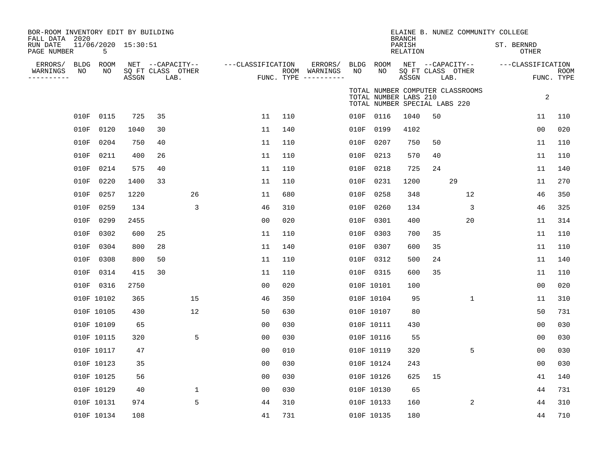| BOR-ROOM INVENTORY EDIT BY BUILDING<br>FALL DATA 2020<br>RUN DATE |            | 11/06/2020 15:30:51 |       |                           |             |                   |     |                                      |      |                                                        | <b>BRANCH</b><br>PARISH |    | ELAINE B. NUNEZ COMMUNITY COLLEGE | ST. BERNRD        |                |                    |
|-------------------------------------------------------------------|------------|---------------------|-------|---------------------------|-------------|-------------------|-----|--------------------------------------|------|--------------------------------------------------------|-------------------------|----|-----------------------------------|-------------------|----------------|--------------------|
| PAGE NUMBER                                                       |            | 5                   |       |                           |             |                   |     |                                      |      |                                                        | RELATION                |    |                                   |                   | OTHER          |                    |
| ERRORS/                                                           | BLDG<br>NO | ROOM<br>NO          |       | NET --CAPACITY--          |             | ---CLASSIFICATION |     | ERRORS/                              | NO   | BLDG ROOM<br>NO.                                       |                         |    | NET --CAPACITY--                  | ---CLASSIFICATION |                |                    |
| WARNINGS<br>----------                                            |            |                     | ASSGN | SQ FT CLASS OTHER<br>LAB. |             |                   |     | ROOM WARNINGS<br>FUNC. TYPE $------$ |      |                                                        | ASSGN                   |    | SQ FT CLASS OTHER<br>LAB.         |                   |                | ROOM<br>FUNC. TYPE |
|                                                                   |            |                     |       |                           |             |                   |     |                                      |      | TOTAL NUMBER LABS 210<br>TOTAL NUMBER SPECIAL LABS 220 |                         |    | TOTAL NUMBER COMPUTER CLASSROOMS  |                   | 2              |                    |
|                                                                   | 010F       | 0115                | 725   | 35                        |             | 11                | 110 |                                      |      | 010F 0116                                              | 1040                    | 50 |                                   |                   | 11             | 110                |
|                                                                   | 010F       | 0120                | 1040  | 30                        |             | 11                | 140 |                                      | 010F | 0199                                                   | 4102                    |    |                                   |                   | 00             | 020                |
|                                                                   | 010F       | 0204                | 750   | 40                        |             | 11                | 110 |                                      | 010F | 0207                                                   | 750                     | 50 |                                   |                   | 11             | 110                |
|                                                                   | 010F       | 0211                | 400   | 26                        |             | 11                | 110 |                                      | 010F | 0213                                                   | 570                     | 40 |                                   |                   | 11             | 110                |
|                                                                   | 010F       | 0214                | 575   | 40                        |             | 11                | 110 |                                      | 010F | 0218                                                   | 725                     | 24 |                                   |                   | 11             | 140                |
|                                                                   | 010F       | 0220                | 1400  | 33                        |             | 11                | 110 |                                      | 010F | 0231                                                   | 1200                    |    | 29                                |                   | 11             | 270                |
|                                                                   | 010F       | 0257                | 1220  |                           | 26          | 11                | 680 |                                      | 010F | 0258                                                   | 348                     |    | 12                                |                   | 46             | 350                |
|                                                                   | 010F       | 0259                | 134   |                           | 3           | 46                | 310 |                                      | 010F | 0260                                                   | 134                     |    | 3                                 |                   | 46             | 325                |
|                                                                   | 010F       | 0299                | 2455  |                           |             | 00                | 020 |                                      | 010F | 0301                                                   | 400                     |    | 20                                |                   | 11             | 314                |
|                                                                   | 010F       | 0302                | 600   | 25                        |             | 11                | 110 |                                      | 010F | 0303                                                   | 700                     | 35 |                                   |                   | 11             | 110                |
|                                                                   | 010F       | 0304                | 800   | 28                        |             | 11                | 140 |                                      | 010F | 0307                                                   | 600                     | 35 |                                   |                   | 11             | 110                |
|                                                                   | 010F       | 0308                | 800   | 50                        |             | 11                | 110 |                                      | 010F | 0312                                                   | 500                     | 24 |                                   |                   | 11             | 140                |
|                                                                   | 010F       | 0314                | 415   | 30                        |             | 11                | 110 |                                      |      | 010F 0315                                              | 600                     | 35 |                                   |                   | 11             | 110                |
|                                                                   | 010F       | 0316                | 2750  |                           |             | 0 <sub>0</sub>    | 020 |                                      |      | 010F 10101                                             | 100                     |    |                                   |                   | 0 <sub>0</sub> | 020                |
|                                                                   |            | 010F 10102          | 365   |                           | 15          | 46                | 350 |                                      |      | 010F 10104                                             | 95                      |    | 1                                 |                   | 11             | 310                |
|                                                                   |            | 010F 10105          | 430   |                           | 12          | 50                | 630 |                                      |      | 010F 10107                                             | 80                      |    |                                   |                   | 50             | 731                |
|                                                                   |            | 010F 10109          | 65    |                           |             | 0 <sub>0</sub>    | 030 |                                      |      | 010F 10111                                             | 430                     |    |                                   |                   | 0 <sub>0</sub> | 030                |
|                                                                   |            | 010F 10115          | 320   |                           | 5           | 00                | 030 |                                      |      | 010F 10116                                             | 55                      |    |                                   |                   | 00             | 030                |
|                                                                   |            | 010F 10117          | 47    |                           |             | 0 <sub>0</sub>    | 010 |                                      |      | 010F 10119                                             | 320                     |    | 5                                 |                   | 00             | 030                |
|                                                                   |            | 010F 10123          | 35    |                           |             | 00                | 030 |                                      |      | 010F 10124                                             | 243                     |    |                                   |                   | 0 <sub>0</sub> | 030                |
|                                                                   |            | 010F 10125          | 56    |                           |             | 0 <sub>0</sub>    | 030 |                                      |      | 010F 10126                                             | 625                     | 15 |                                   |                   | 41             | 140                |
|                                                                   |            | 010F 10129          | 40    |                           | $\mathbf 1$ | 0 <sub>0</sub>    | 030 |                                      |      | 010F 10130                                             | 65                      |    |                                   |                   | 44             | 731                |
|                                                                   |            | 010F 10131          | 974   |                           | 5           | 44                | 310 |                                      |      | 010F 10133                                             | 160                     |    | 2                                 |                   | 44             | 310                |
|                                                                   |            | 010F 10134          | 108   |                           |             | 41                | 731 |                                      |      | 010F 10135                                             | 180                     |    |                                   |                   | 44             | 710                |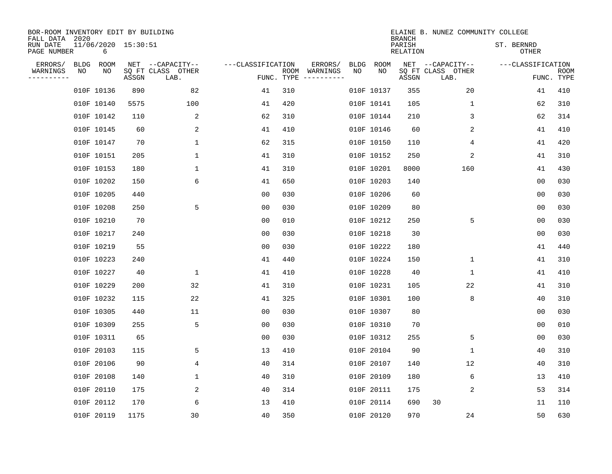| BOR-ROOM INVENTORY EDIT BY BUILDING       |             |                          |       |                           |                   |                    |                         |      |             | <b>BRANCH</b>      | ELAINE B. NUNEZ COMMUNITY COLLEGE |                     |                |                           |
|-------------------------------------------|-------------|--------------------------|-------|---------------------------|-------------------|--------------------|-------------------------|------|-------------|--------------------|-----------------------------------|---------------------|----------------|---------------------------|
| FALL DATA 2020<br>RUN DATE<br>PAGE NUMBER |             | 11/06/2020 15:30:51<br>6 |       |                           |                   |                    |                         |      |             | PARISH<br>RELATION |                                   | ST. BERNRD<br>OTHER |                |                           |
| ERRORS/                                   | <b>BLDG</b> | ROOM                     |       | NET --CAPACITY--          | ---CLASSIFICATION |                    | ERRORS/                 | BLDG | <b>ROOM</b> |                    | NET --CAPACITY--                  | ---CLASSIFICATION   |                |                           |
| WARNINGS<br>----------                    | ΝO          | NO                       | ASSGN | SQ FT CLASS OTHER<br>LAB. |                   | ROOM<br>FUNC. TYPE | WARNINGS<br>----------- | NO   | NO          | ASSGN              | SQ FT CLASS OTHER<br>LAB.         |                     |                | <b>ROOM</b><br>FUNC. TYPE |
|                                           |             | 010F 10136               | 890   | 82                        | 41                | 310                |                         |      | 010F 10137  | 355                | 20                                |                     | 41             | 410                       |
|                                           |             | 010F 10140               | 5575  | 100                       | 41                | 420                |                         |      | 010F 10141  | 105                | 1                                 |                     | 62             | 310                       |
|                                           |             | 010F 10142               | 110   | 2                         | 62                | 310                |                         |      | 010F 10144  | 210                | 3                                 |                     | 62             | 314                       |
|                                           |             | 010F 10145               | 60    | 2                         | 41                | 410                |                         |      | 010F 10146  | 60                 | 2                                 |                     | 41             | 410                       |
|                                           |             | 010F 10147               | 70    | $\mathbf{1}$              | 62                | 315                |                         |      | 010F 10150  | 110                | 4                                 |                     | 41             | 420                       |
|                                           |             | 010F 10151               | 205   | $\mathbf 1$               | 41                | 310                |                         |      | 010F 10152  | 250                | 2                                 |                     | 41             | 310                       |
|                                           |             | 010F 10153               | 180   | $\mathbf 1$               | 41                | 310                |                         |      | 010F 10201  | 8000               | 160                               |                     | 41             | 430                       |
|                                           |             | 010F 10202               | 150   | 6                         | 41                | 650                |                         |      | 010F 10203  | 140                |                                   |                     | 0 <sub>0</sub> | 030                       |
|                                           |             | 010F 10205               | 440   |                           | 0 <sub>0</sub>    | 030                |                         |      | 010F 10206  | 60                 |                                   |                     | 0 <sub>0</sub> | 030                       |
|                                           |             | 010F 10208               | 250   | 5                         | 0 <sub>0</sub>    | 030                |                         |      | 010F 10209  | 80                 |                                   |                     | 0 <sub>0</sub> | 030                       |
|                                           |             | 010F 10210               | 70    |                           | 0 <sub>0</sub>    | 010                |                         |      | 010F 10212  | 250                | 5                                 |                     | 0 <sub>0</sub> | 030                       |
|                                           |             | 010F 10217               | 240   |                           | 0 <sub>0</sub>    | 030                |                         |      | 010F 10218  | 30                 |                                   |                     | 0 <sub>0</sub> | 030                       |
|                                           |             | 010F 10219               | 55    |                           | 0 <sub>0</sub>    | 030                |                         |      | 010F 10222  | 180                |                                   |                     | 41             | 440                       |
|                                           |             | 010F 10223               | 240   |                           | 41                | 440                |                         |      | 010F 10224  | 150                | 1                                 |                     | 41             | 310                       |
|                                           |             | 010F 10227               | 40    | 1                         | 41                | 410                |                         |      | 010F 10228  | 40                 | 1                                 |                     | 41             | 410                       |
|                                           |             | 010F 10229               | 200   | 32                        | 41                | 310                |                         |      | 010F 10231  | 105                | 22                                |                     | 41             | 310                       |
|                                           |             | 010F 10232               | 115   | 22                        | 41                | 325                |                         |      | 010F 10301  | 100                | 8                                 |                     | 40             | 310                       |
|                                           |             | 010F 10305               | 440   | 11                        | 00                | 030                |                         |      | 010F 10307  | 80                 |                                   |                     | 0 <sub>0</sub> | 030                       |
|                                           |             | 010F 10309               | 255   | 5                         | 0 <sub>0</sub>    | 030                |                         |      | 010F 10310  | 70                 |                                   |                     | 0 <sub>0</sub> | 010                       |
|                                           |             | 010F 10311               | 65    |                           | 0 <sub>0</sub>    | 030                |                         |      | 010F 10312  | 255                | 5                                 |                     | 0 <sub>0</sub> | 030                       |
|                                           |             | 010F 20103               | 115   | 5                         | 13                | 410                |                         |      | 010F 20104  | 90                 | 1                                 |                     | 40             | 310                       |
|                                           |             | 010F 20106               | 90    | 4                         | 40                | 314                |                         |      | 010F 20107  | 140                | 12                                |                     | 40             | 310                       |
|                                           |             | 010F 20108               | 140   | 1                         | 40                | 310                |                         |      | 010F 20109  | 180                | 6                                 |                     | 13             | 410                       |
|                                           |             | 010F 20110               | 175   | 2                         | 40                | 314                |                         |      | 010F 20111  | 175                | 2                                 |                     | 53             | 314                       |
|                                           |             | 010F 20112               | 170   | 6                         | 13                | 410                |                         |      | 010F 20114  | 690                | 30                                |                     | 11             | 110                       |
|                                           |             | 010F 20119               | 1175  | 30                        | 40                | 350                |                         |      | 010F 20120  | 970                | 24                                |                     | 50             | 630                       |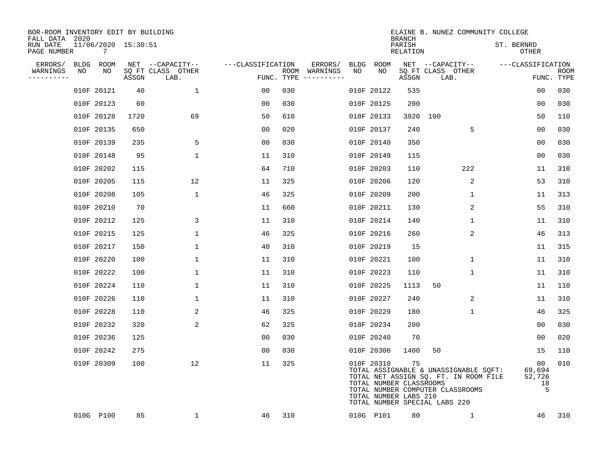| BOR-ROOM INVENTORY EDIT BY BUILDING<br>FALL DATA 2020 |                                       |       |                           |                   |                                      |         |            | <b>BRANCH</b>                                          | ELAINE B. NUNEZ COMMUNITY COLLEGE                                                                                                                   |                     |                                   |                    |
|-------------------------------------------------------|---------------------------------------|-------|---------------------------|-------------------|--------------------------------------|---------|------------|--------------------------------------------------------|-----------------------------------------------------------------------------------------------------------------------------------------------------|---------------------|-----------------------------------|--------------------|
| RUN DATE<br>PAGE NUMBER                               | 11/06/2020 15:30:51<br>$\overline{7}$ |       |                           |                   |                                      |         |            | PARISH<br>RELATION                                     |                                                                                                                                                     | ST. BERNRD<br>OTHER |                                   |                    |
| ERRORS/                                               | BLDG ROOM                             |       | NET --CAPACITY--          | ---CLASSIFICATION |                                      | ERRORS/ | BLDG ROOM  |                                                        | NET --CAPACITY--                                                                                                                                    | ---CLASSIFICATION   |                                   |                    |
| WARNINGS<br>NO<br>---------                           | NO                                    | ASSGN | SQ FT CLASS OTHER<br>LAB. |                   | ROOM WARNINGS<br>FUNC. TYPE $------$ | NO      | NO         | ASSGN                                                  | SQ FT CLASS OTHER<br>LAB.                                                                                                                           |                     |                                   | ROOM<br>FUNC. TYPE |
|                                                       | 010F 20121                            | 40    | 1                         | 00                | 030                                  |         | 010F 20122 | 535                                                    |                                                                                                                                                     |                     | 0 <sub>0</sub>                    | 030                |
|                                                       | 010F 20123                            | 60    |                           | 0 <sub>0</sub>    | 030                                  |         | 010F 20125 | 200                                                    |                                                                                                                                                     |                     | 00                                | 030                |
|                                                       | 010F 20128                            | 1720  | 69                        | 50                | 610                                  |         | 010F 20133 | 3920                                                   | 100                                                                                                                                                 |                     | 50                                | 110                |
|                                                       | 010F 20135                            | 650   |                           | 00                | 020                                  |         | 010F 20137 | 240                                                    | 5                                                                                                                                                   |                     | 00                                | 030                |
|                                                       | 010F 20139                            | 235   | 5                         | 00                | 030                                  |         | 010F 20140 | 350                                                    |                                                                                                                                                     |                     | 0 <sub>0</sub>                    | 030                |
|                                                       | 010F 20148                            | 95    | 1                         | 11                | 310                                  |         | 010F 20149 | 115                                                    |                                                                                                                                                     |                     | 0 <sub>0</sub>                    | 030                |
|                                                       | 010F 20202                            | 115   |                           | 64                | 710                                  |         | 010F 20203 | 110                                                    | 222                                                                                                                                                 |                     | 11                                | 310                |
|                                                       | 010F 20205                            | 115   | 12                        | 11                | 325                                  |         | 010F 20206 | 120                                                    | 2                                                                                                                                                   |                     | 53                                | 310                |
|                                                       | 010F 20208                            | 105   | $\mathbf{1}$              | 46                | 325                                  |         | 010F 20209 | 200                                                    | $\mathbf 1$                                                                                                                                         |                     | 11                                | 313                |
|                                                       | 010F 20210                            | 70    |                           | 11                | 660                                  |         | 010F 20211 | 130                                                    | 2                                                                                                                                                   |                     | 55                                | 310                |
|                                                       | 010F 20212                            | 125   | 3                         | 11                | 310                                  |         | 010F 20214 | 140                                                    | $\mathbf 1$                                                                                                                                         |                     | 11                                | 310                |
|                                                       | 010F 20215                            | 125   | $\mathbf{1}$              | 46                | 325                                  |         | 010F 20216 | 260                                                    | 2                                                                                                                                                   |                     | 46                                | 313                |
|                                                       | 010F 20217                            | 150   | $\mathbf{1}$              | 40                | 310                                  |         | 010F 20219 | 15                                                     |                                                                                                                                                     |                     | 11                                | 315                |
|                                                       | 010F 20220                            | 100   | $\mathbf{1}$              | 11                | 310                                  |         | 010F 20221 | 100                                                    | $\mathbf{1}$                                                                                                                                        |                     | 11                                | 310                |
|                                                       | 010F 20222                            | 100   | 1                         | 11                | 310                                  |         | 010F 20223 | 110                                                    | 1                                                                                                                                                   |                     | 11                                | 310                |
|                                                       | 010F 20224                            | 110   | 1                         | 11                | 310                                  |         | 010F 20225 | 1113                                                   | 50                                                                                                                                                  |                     | 11                                | 110                |
|                                                       | 010F 20226                            | 110   | 1                         | 11                | 310                                  |         | 010F 20227 | 240                                                    | 2                                                                                                                                                   |                     | 11                                | 310                |
|                                                       | 010F 20228                            | 110   | 2                         | 46                | 325                                  |         | 010F 20229 | 180                                                    | $\mathbf 1$                                                                                                                                         |                     | 46                                | 325                |
|                                                       | 010F 20232                            | 320   | 2                         | 62                | 325                                  |         | 010F 20234 | 200                                                    |                                                                                                                                                     |                     | 0 <sub>0</sub>                    | 030                |
|                                                       | 010F 20236                            | 125   |                           | 0 <sub>0</sub>    | 030                                  |         | 010F 20240 | 70                                                     |                                                                                                                                                     |                     | 00                                | 020                |
|                                                       | 010F 20242                            | 275   |                           | 0 <sub>0</sub>    | 030                                  |         | 010F 20306 | 1400                                                   | 50                                                                                                                                                  |                     | 15                                | 110                |
|                                                       | 010F 20309                            | 100   | 12                        | 11                | 325                                  |         | 010F 20310 | 75<br>TOTAL NUMBER CLASSROOMS<br>TOTAL NUMBER LABS 210 | TOTAL ASSIGNABLE & UNASSIGNABLE SQFT:<br>TOTAL NET ASSIGN SQ. FT. IN ROOM FILE<br>TOTAL NUMBER COMPUTER CLASSROOMS<br>TOTAL NUMBER SPECIAL LABS 220 |                     | 00<br>69,694<br>52,726<br>18<br>5 | 010                |
|                                                       | 010G P100                             | 85    | $\mathbf{1}$              | 46                | 310                                  |         | 010G P101  | 80                                                     | 1                                                                                                                                                   |                     | 46                                | 310                |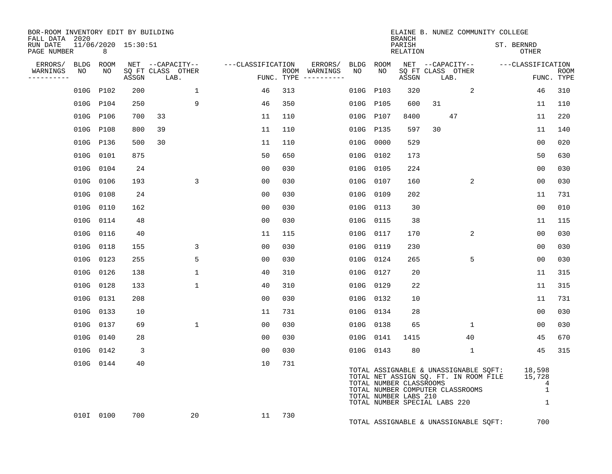| BOR-ROOM INVENTORY EDIT BY BUILDING<br>FALL DATA 2020 |                 |           |                     |                                       |                   |     |                          |            |                                                  | <b>BRANCH</b>             |                               | ELAINE B. NUNEZ COMMUNITY COLLEGE                                                                                  |                                           |             |
|-------------------------------------------------------|-----------------|-----------|---------------------|---------------------------------------|-------------------|-----|--------------------------|------------|--------------------------------------------------|---------------------------|-------------------------------|--------------------------------------------------------------------------------------------------------------------|-------------------------------------------|-------------|
| RUN DATE<br>PAGE NUMBER                               |                 | 8         | 11/06/2020 15:30:51 |                                       |                   |     |                          |            |                                                  | PARISH<br><b>RELATION</b> |                               |                                                                                                                    | ST. BERNRD<br><b>OTHER</b>                |             |
| ERRORS/<br>WARNINGS                                   | BLDG ROOM<br>NO | NO        |                     | NET --CAPACITY--<br>SQ FT CLASS OTHER | ---CLASSIFICATION |     | ERRORS/<br>ROOM WARNINGS | BLDG<br>NO | ROOM<br>NO                                       |                           |                               | NET --CAPACITY--<br>SQ FT CLASS OTHER                                                                              | ---CLASSIFICATION                         | <b>ROOM</b> |
| ---------                                             |                 |           | ASSGN               | LAB.                                  |                   |     | FUNC. TYPE $------$      |            |                                                  | ASSGN                     | LAB.                          |                                                                                                                    |                                           | FUNC. TYPE  |
|                                                       |                 | 010G P102 | 200                 | $\mathbf{1}$                          | 46                | 313 |                          | 010G       | P103                                             | 320                       |                               | 2                                                                                                                  | 46                                        | 310         |
|                                                       | 010G P104       |           | 250                 | 9                                     | 46                | 350 |                          | 010G P105  |                                                  | 600                       | 31                            |                                                                                                                    | 11                                        | 110         |
|                                                       | 010G P106       |           | 700                 | 33                                    | 11                | 110 |                          | 010G       | P107                                             | 8400                      |                               | 47                                                                                                                 | 11                                        | 220         |
|                                                       | 010G P108       |           | 800                 | 39                                    | 11                | 110 |                          |            | 010G P135                                        | 597                       | 30                            |                                                                                                                    | 11                                        | 140         |
|                                                       | 010G P136       |           | 500                 | 30                                    | 11                | 110 |                          | 010G       | 0000                                             | 529                       |                               |                                                                                                                    | 0 <sub>0</sub>                            | 020         |
|                                                       | 010G 0101       |           | 875                 |                                       | 50                | 650 |                          | 010G 0102  |                                                  | 173                       |                               |                                                                                                                    | 50                                        | 630         |
|                                                       | 010G 0104       |           | 24                  |                                       | 0 <sub>0</sub>    | 030 |                          | 010G 0105  |                                                  | 224                       |                               |                                                                                                                    | 0 <sub>0</sub>                            | 030         |
|                                                       | 010G 0106       |           | 193                 | 3                                     | 0 <sub>0</sub>    | 030 |                          | 010G 0107  |                                                  | 160                       |                               | 2                                                                                                                  | 0 <sub>0</sub>                            | 030         |
|                                                       |                 | 010G 0108 | 24                  |                                       | 0 <sub>0</sub>    | 030 |                          | 010G 0109  |                                                  | 202                       |                               |                                                                                                                    | 11                                        | 731         |
|                                                       | 010G 0110       |           | 162                 |                                       | 0 <sub>0</sub>    | 030 |                          |            | 010G 0113                                        | 30                        |                               |                                                                                                                    | 0 <sub>0</sub>                            | 010         |
|                                                       | 010G 0114       |           | 48                  |                                       | 0 <sub>0</sub>    | 030 |                          |            | 010G 0115                                        | 38                        |                               |                                                                                                                    | 11                                        | 115         |
|                                                       | 010G 0116       |           | 40                  |                                       | 11                | 115 |                          | 010G       | 0117                                             | 170                       |                               | 2                                                                                                                  | 0 <sub>0</sub>                            | 030         |
|                                                       | 010G 0118       |           | 155                 | 3                                     | 0 <sub>0</sub>    | 030 |                          |            | 010G 0119                                        | 230                       |                               |                                                                                                                    | 0 <sub>0</sub>                            | 030         |
|                                                       | 010G 0123       |           | 255                 | 5                                     | 0 <sub>0</sub>    | 030 |                          | 010G       | 0124                                             | 265                       |                               | 5                                                                                                                  | 0 <sub>0</sub>                            | 030         |
|                                                       | 010G 0126       |           | 138                 | $\mathbf{1}$                          | 40                | 310 |                          | 010G 0127  |                                                  | 20                        |                               |                                                                                                                    | 11                                        | 315         |
|                                                       | 010G 0128       |           | 133                 | $\mathbf{1}$                          | 40                | 310 |                          | 010G 0129  |                                                  | 22                        |                               |                                                                                                                    | 11                                        | 315         |
|                                                       | 010G 0131       |           | 208                 |                                       | 0 <sub>0</sub>    | 030 |                          | 010G 0132  |                                                  | 10                        |                               |                                                                                                                    | 11                                        | 731         |
|                                                       |                 | 010G 0133 | 10                  |                                       | 11                | 731 |                          |            | 010G 0134                                        | 28                        |                               |                                                                                                                    | 0 <sub>0</sub>                            | 030         |
|                                                       | 010G 0137       |           | 69                  | $\mathbf 1$                           | 0 <sub>0</sub>    | 030 |                          |            | 010G 0138                                        | 65                        |                               | $\mathbf{1}$                                                                                                       | 0 <sub>0</sub>                            | 030         |
|                                                       | 010G 0140       |           | 28                  |                                       | 0 <sub>0</sub>    | 030 |                          |            | 010G 0141                                        | 1415                      |                               | 40                                                                                                                 | 45                                        | 670         |
|                                                       |                 | 010G 0142 | $\overline{3}$      |                                       | 0 <sub>0</sub>    | 030 |                          | 010G 0143  |                                                  | 80                        |                               | $\mathbf{1}$                                                                                                       | 45                                        | 315         |
|                                                       |                 | 010G 0144 | 40                  |                                       | 10                | 731 |                          |            | TOTAL NUMBER CLASSROOMS<br>TOTAL NUMBER LABS 210 |                           | TOTAL NUMBER SPECIAL LABS 220 | TOTAL ASSIGNABLE & UNASSIGNABLE SQFT:<br>TOTAL NET ASSIGN SQ. FT. IN ROOM FILE<br>TOTAL NUMBER COMPUTER CLASSROOMS | 18,598<br>15,728<br>4<br>$\mathbf 1$<br>1 |             |
|                                                       |                 | 010I 0100 | 700                 | 20                                    | 11                | 730 |                          |            |                                                  |                           |                               | TOTAL ASSIGNABLE & UNASSIGNABLE SOFT:                                                                              | 700                                       |             |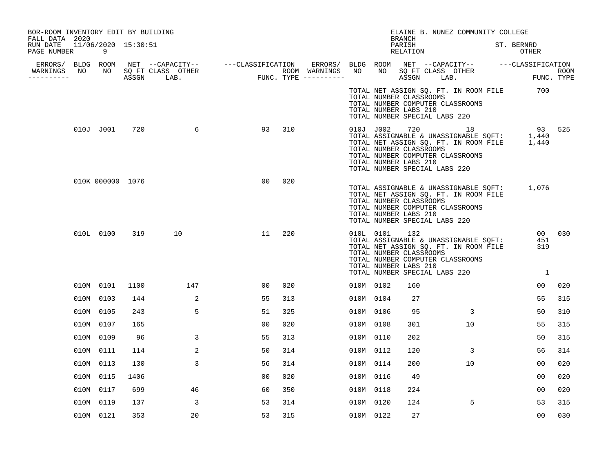| BOR-ROOM INVENTORY EDIT BY BUILDING<br>FALL DATA 2020 |    |                  |      |                      |                                                      |     |         |           |                                                  | <b>BRANCH</b>      |                               | ELAINE B. NUNEZ COMMUNITY COLLEGE                                                                                                                   |                                                                                                                         |        |
|-------------------------------------------------------|----|------------------|------|----------------------|------------------------------------------------------|-----|---------|-----------|--------------------------------------------------|--------------------|-------------------------------|-----------------------------------------------------------------------------------------------------------------------------------------------------|-------------------------------------------------------------------------------------------------------------------------|--------|
| RUN DATE 11/06/2020 15:30:51<br>PAGE NUMBER           |    | 9                |      |                      |                                                      |     |         |           |                                                  | PARISH<br>RELATION |                               |                                                                                                                                                     | ST. BERNRD<br>OTHER                                                                                                     |        |
| WARNINGS                                              | NO |                  |      | NO SQ FT CLASS OTHER | ERRORS/ BLDG ROOM NET --CAPACITY-- ---CLASSIFICATION |     | ERRORS/ |           |                                                  |                    |                               | NO NO SQ FT CLASS OTHER                                                                                                                             | BLDG ROOM NET --CAPACITY-- ---CLASSIFICATION                                                                            |        |
| ----------                                            |    |                  |      | ASSGN LAB.           | ROOM WARNINGS<br>FUNC. TYPE ---------                |     |         |           |                                                  |                    |                               | ASSGN LAB.                                                                                                                                          | ROOM<br>FUNC. TYPE                                                                                                      |        |
|                                                       |    |                  |      |                      |                                                      |     |         |           | TOTAL NUMBER CLASSROOMS<br>TOTAL NUMBER LABS 210 |                    | TOTAL NUMBER SPECIAL LABS 220 | TOTAL NUMBER COMPUTER CLASSROOMS                                                                                                                    | TOTAL NET ASSIGN SQ. FT. IN ROOM FILE 700                                                                               |        |
|                                                       |    | 010J J001        | 720  | 6                    | 93                                                   | 310 |         | 010J J002 | TOTAL NUMBER CLASSROOMS<br>TOTAL NUMBER LABS 210 | 720                | TOTAL NUMBER SPECIAL LABS 220 | 18<br>TOTAL NUMBER COMPUTER CLASSROOMS                                                                                                              | 93<br>010J J002 720 18 93<br>TOTAL ASSIGNABLE & UNASSIGNABLE SQFT: 1,440<br>TOTAL NET ASSIGN SQ. FT. IN ROOM FILE 1,440 | 525    |
|                                                       |    | 010K 000000 1076 |      |                      | 0 <sub>0</sub>                                       | 020 |         |           | TOTAL NUMBER CLASSROOMS<br>TOTAL NUMBER LABS 210 |                    | TOTAL NUMBER SPECIAL LABS 220 | TOTAL NET ASSIGN SQ. FT. IN ROOM FILE<br>TOTAL NUMBER COMPUTER CLASSROOMS                                                                           | TOTAL ASSIGNABLE & UNASSIGNABLE SQFT: 1,076                                                                             |        |
|                                                       |    | 010L 0100        | 319  | 10                   | 11                                                   | 220 |         | 010L 0101 | TOTAL NUMBER CLASSROOMS<br>TOTAL NUMBER LABS 210 | 132                |                               | TOTAL ASSIGNABLE & UNASSIGNABLE SQFT:<br>TOTAL NET ASSIGN SQ. FT. IN ROOM FILE<br>TOTAL NUMBER COMPUTER CLASSROOMS<br>TOTAL NUMBER SPECIAL LABS 220 | 451<br>319<br>$\overline{1}$                                                                                            | 00 030 |
|                                                       |    | 010M 0101        | 1100 | 147                  | 00                                                   | 020 |         | 010M 0102 |                                                  | 160                |                               |                                                                                                                                                     | 00                                                                                                                      | 020    |
|                                                       |    | 010M 0103        | 144  | 2                    | 55                                                   | 313 |         | 010M 0104 |                                                  | 27                 |                               |                                                                                                                                                     | 55                                                                                                                      | 315    |
|                                                       |    | 010M 0105        | 243  | 5                    | 51                                                   | 325 |         | 010M 0106 |                                                  | 95                 |                               | $\overline{3}$                                                                                                                                      | 50                                                                                                                      | 310    |
|                                                       |    | 010M 0107        | 165  |                      | 0 <sub>0</sub>                                       | 020 |         | 010M 0108 |                                                  | 301                |                               | 10 <sup>°</sup>                                                                                                                                     | 55                                                                                                                      | 315    |
|                                                       |    | 010M 0109        | 96   | 3                    | 55                                                   | 313 |         | 010M 0110 |                                                  | 202                |                               |                                                                                                                                                     | 50                                                                                                                      | 315    |
|                                                       |    | 010M 0111        | 114  | 2                    | 50                                                   | 314 |         | 010M 0112 |                                                  | 120                |                               | 3                                                                                                                                                   | 56                                                                                                                      | 314    |
|                                                       |    | 010M 0113        | 130  | 3                    | 56                                                   | 314 |         | 010M 0114 |                                                  | 200                |                               | 10                                                                                                                                                  | 00                                                                                                                      | 020    |
|                                                       |    | 010M 0115        | 1406 |                      | 0 <sub>0</sub>                                       | 020 |         | 010M 0116 |                                                  | 49                 |                               |                                                                                                                                                     | 00                                                                                                                      | 020    |
|                                                       |    | 010M 0117        | 699  | 46                   | 60                                                   | 350 |         | 010M 0118 |                                                  | 224                |                               |                                                                                                                                                     | 00                                                                                                                      | 020    |
|                                                       |    | 010M 0119        | 137  | 3                    | 53                                                   | 314 |         | 010M 0120 |                                                  | 124                |                               | 5                                                                                                                                                   | 53                                                                                                                      | 315    |
|                                                       |    | 010M 0121        | 353  | 20                   | 53                                                   | 315 |         | 010M 0122 |                                                  | 27                 |                               |                                                                                                                                                     | 0 <sub>0</sub>                                                                                                          | 030    |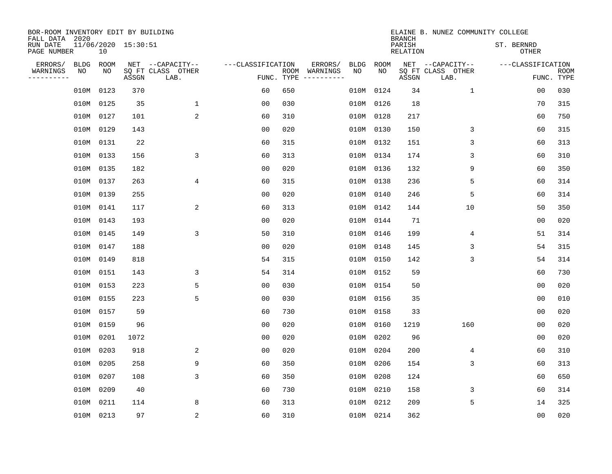| BOR-ROOM INVENTORY EDIT BY BUILDING<br>FALL DATA 2020 |                                        |       |                           |                   |            |                              |             |             | <b>BRANCH</b>             | ELAINE B. NUNEZ COMMUNITY COLLEGE |            |                   |                           |
|-------------------------------------------------------|----------------------------------------|-------|---------------------------|-------------------|------------|------------------------------|-------------|-------------|---------------------------|-----------------------------------|------------|-------------------|---------------------------|
| RUN DATE<br>PAGE NUMBER                               | 11/06/2020 15:30:51<br>10 <sup>°</sup> |       |                           |                   |            |                              |             |             | PARISH<br><b>RELATION</b> |                                   | ST. BERNRD | <b>OTHER</b>      |                           |
| ERRORS/<br><b>BLDG</b>                                | ROOM                                   |       | NET --CAPACITY--          | ---CLASSIFICATION |            | ERRORS/                      | <b>BLDG</b> | <b>ROOM</b> |                           | NET --CAPACITY--                  |            | ---CLASSIFICATION |                           |
| WARNINGS<br>NO<br>----------                          | NO                                     | ASSGN | SQ FT CLASS OTHER<br>LAB. |                   | FUNC. TYPE | ROOM WARNINGS<br>----------- | NO          | NO          | ASSGN                     | SQ FT CLASS OTHER<br>LAB.         |            |                   | <b>ROOM</b><br>FUNC. TYPE |
| 010M                                                  | 0123                                   | 370   |                           | 60                | 650        |                              | 010M        | 0124        | 34                        | 1                                 |            | 0 <sub>0</sub>    | 030                       |
|                                                       | 010M 0125                              | 35    | $\mathbf 1$               | 0 <sub>0</sub>    | 030        |                              | 010M        | 0126        | 18                        |                                   |            | 70                | 315                       |
|                                                       | 010M 0127                              | 101   | $\overline{a}$            | 60                | 310        |                              | 010M        | 0128        | 217                       |                                   |            | 60                | 750                       |
|                                                       | 010M 0129                              | 143   |                           | 0 <sub>0</sub>    | 020        |                              |             | 010M 0130   | 150                       | 3                                 |            | 60                | 315                       |
|                                                       | 010M 0131                              | 22    |                           | 60                | 315        |                              |             | 010M 0132   | 151                       | 3                                 |            | 60                | 313                       |
|                                                       | 010M 0133                              | 156   | 3                         | 60                | 313        |                              |             | 010M 0134   | 174                       | 3                                 |            | 60                | 310                       |
|                                                       | 010M 0135                              | 182   |                           | 0 <sub>0</sub>    | 020        |                              |             | 010M 0136   | 132                       | 9                                 |            | 60                | 350                       |
|                                                       | 010M 0137                              | 263   | 4                         | 60                | 315        |                              |             | 010M 0138   | 236                       | 5                                 |            | 60                | 314                       |
|                                                       | 010M 0139                              | 255   |                           | 0 <sub>0</sub>    | 020        |                              |             | 010M 0140   | 246                       | 5                                 |            | 60                | 314                       |
|                                                       | 010M 0141                              | 117   | 2                         | 60                | 313        |                              |             | 010M 0142   | 144                       | 10                                |            | 50                | 350                       |
|                                                       | 010M 0143                              | 193   |                           | 00                | 020        |                              |             | 010M 0144   | 71                        |                                   |            | 0 <sub>0</sub>    | 020                       |
|                                                       | 010M 0145                              | 149   | 3                         | 50                | 310        |                              |             | 010M 0146   | 199                       | 4                                 |            | 51                | 314                       |
|                                                       | 010M 0147                              | 188   |                           | 0 <sub>0</sub>    | 020        |                              | 010M        | 0148        | 145                       | 3                                 |            | 54                | 315                       |
|                                                       | 010M 0149                              | 818   |                           | 54                | 315        |                              |             | 010M 0150   | 142                       | 3                                 |            | 54                | 314                       |
|                                                       | 010M 0151                              | 143   | 3                         | 54                | 314        |                              |             | 010M 0152   | 59                        |                                   |            | 60                | 730                       |
|                                                       | 010M 0153                              | 223   | 5                         | 0 <sub>0</sub>    | 030        |                              |             | 010M 0154   | 50                        |                                   |            | 0 <sub>0</sub>    | 020                       |
|                                                       | 010M 0155                              | 223   | 5                         | 0 <sub>0</sub>    | 030        |                              |             | 010M 0156   | 35                        |                                   |            | 0 <sub>0</sub>    | 010                       |
| 010M                                                  | 0157                                   | 59    |                           | 60                | 730        |                              |             | 010M 0158   | 33                        |                                   |            | 0 <sub>0</sub>    | 020                       |
|                                                       | 010M 0159                              | 96    |                           | 0 <sub>0</sub>    | 020        |                              |             | 010M 0160   | 1219                      | 160                               |            | 0 <sub>0</sub>    | 020                       |
| 010M                                                  | 0201                                   | 1072  |                           | 0 <sub>0</sub>    | 020        |                              |             | 010M 0202   | 96                        |                                   |            | 0 <sub>0</sub>    | 020                       |
|                                                       | 010M 0203                              | 918   | 2                         | 0 <sub>0</sub>    | 020        |                              |             | 010M 0204   | 200                       | 4                                 |            | 60                | 310                       |
| 010M                                                  | 0205                                   | 258   | 9                         | 60                | 350        |                              | 010M        | 0206        | 154                       | 3                                 |            | 60                | 313                       |
|                                                       | 010M 0207                              | 108   | 3                         | 60                | 350        |                              | 010M        | 0208        | 124                       |                                   |            | 60                | 650                       |
| 010M                                                  | 0209                                   | 40    |                           | 60                | 730        |                              |             | 010M 0210   | 158                       | 3                                 |            | 60                | 314                       |
| 010M                                                  | 0211                                   | 114   | 8                         | 60                | 313        |                              |             | 010M 0212   | 209                       | 5                                 |            | 14                | 325                       |
|                                                       | 010M 0213                              | 97    | $\overline{2}$            | 60                | 310        |                              |             | 010M 0214   | 362                       |                                   |            | 0 <sub>0</sub>    | 020                       |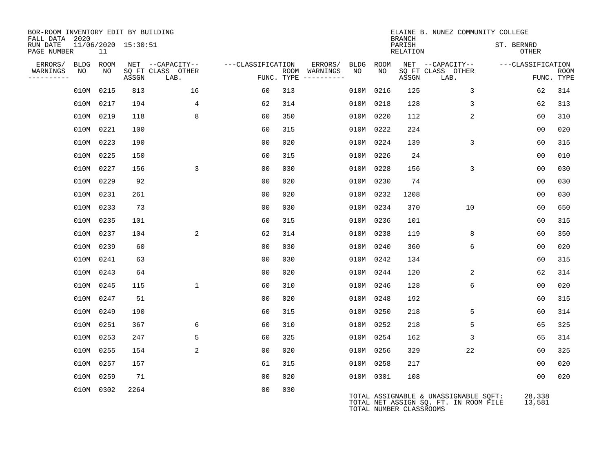| BOR-ROOM INVENTORY EDIT BY BUILDING<br>FALL DATA 2020 |             |      |                     |                           |                   |     |                                      |             |             | <b>BRANCH</b>             | ELAINE B. NUNEZ COMMUNITY COLLEGE                                              |                            |                  |                           |
|-------------------------------------------------------|-------------|------|---------------------|---------------------------|-------------------|-----|--------------------------------------|-------------|-------------|---------------------------|--------------------------------------------------------------------------------|----------------------------|------------------|---------------------------|
| RUN DATE<br>PAGE NUMBER                               |             | 11   | 11/06/2020 15:30:51 |                           |                   |     |                                      |             |             | PARISH<br><b>RELATION</b> |                                                                                | ST. BERNRD<br><b>OTHER</b> |                  |                           |
| ERRORS/                                               | <b>BLDG</b> | ROOM |                     | NET --CAPACITY--          | ---CLASSIFICATION |     | ERRORS/                              | <b>BLDG</b> | <b>ROOM</b> |                           | NET --CAPACITY--                                                               | ---CLASSIFICATION          |                  |                           |
| WARNINGS<br>----------                                | NO          | NO.  | ASSGN               | SO FT CLASS OTHER<br>LAB. |                   |     | ROOM WARNINGS<br>FUNC. TYPE $------$ | NO          | NO.         | ASSGN                     | SO FT CLASS OTHER<br>LAB.                                                      |                            |                  | <b>ROOM</b><br>FUNC. TYPE |
|                                                       | 010M        | 0215 | 813                 | 16                        | 60                | 313 |                                      | 010M        | 0216        | 125                       | 3                                                                              |                            | 62               | 314                       |
|                                                       | 010M        | 0217 | 194                 | 4                         | 62                | 314 |                                      |             | 010M 0218   | 128                       | 3                                                                              |                            | 62               | 313                       |
|                                                       | 010M        | 0219 | 118                 | 8                         | 60                | 350 |                                      |             | 010M 0220   | 112                       | 2                                                                              |                            | 60               | 310                       |
|                                                       | 010M        | 0221 | 100                 |                           | 60                | 315 |                                      |             | 010M 0222   | 224                       |                                                                                |                            | 0 <sub>0</sub>   | 020                       |
|                                                       | 010M 0223   |      | 190                 |                           | 0 <sub>0</sub>    | 020 |                                      |             | 010M 0224   | 139                       | 3                                                                              |                            | 60               | 315                       |
|                                                       | 010M 0225   |      | 150                 |                           | 60                | 315 |                                      |             | 010M 0226   | 24                        |                                                                                |                            | 0 <sub>0</sub>   | 010                       |
|                                                       | 010M 0227   |      | 156                 | 3                         | 00                | 030 |                                      |             | 010M 0228   | 156                       | 3                                                                              |                            | 00               | 030                       |
|                                                       | 010M        | 0229 | 92                  |                           | 0 <sub>0</sub>    | 020 |                                      | 010M        | 0230        | 74                        |                                                                                |                            | 0 <sub>0</sub>   | 030                       |
|                                                       | 010M 0231   |      | 261                 |                           | 0 <sub>0</sub>    | 020 |                                      |             | 010M 0232   | 1208                      |                                                                                |                            | 0 <sub>0</sub>   | 030                       |
|                                                       | 010M 0233   |      | 73                  |                           | 0 <sub>0</sub>    | 030 |                                      |             | 010M 0234   | 370                       | 10                                                                             |                            | 60               | 650                       |
|                                                       | 010M 0235   |      | 101                 |                           | 60                | 315 |                                      |             | 010M 0236   | 101                       |                                                                                |                            | 60               | 315                       |
|                                                       | 010M        | 0237 | 104                 | 2                         | 62                | 314 |                                      | 010M        | 0238        | 119                       | 8                                                                              |                            | 60               | 350                       |
|                                                       | 010M 0239   |      | 60                  |                           | 0 <sub>0</sub>    | 030 |                                      | 010M        | 0240        | 360                       | 6                                                                              |                            | 0 <sub>0</sub>   | 020                       |
|                                                       | 010M 0241   |      | 63                  |                           | 00                | 030 |                                      | 010M        | 0242        | 134                       |                                                                                |                            | 60               | 315                       |
|                                                       | 010M 0243   |      | 64                  |                           | 0 <sub>0</sub>    | 020 |                                      | 010M        | 0244        | 120                       | 2                                                                              |                            | 62               | 314                       |
|                                                       | 010M        | 0245 | 115                 | $\mathbf{1}$              | 60                | 310 |                                      | 010M        | 0246        | 128                       | 6                                                                              |                            | 0 <sub>0</sub>   | 020                       |
|                                                       | 010M 0247   |      | 51                  |                           | 0 <sub>0</sub>    | 020 |                                      |             | 010M 0248   | 192                       |                                                                                |                            | 60               | 315                       |
|                                                       | 010M        | 0249 | 190                 |                           | 60                | 315 |                                      | 010M        | 0250        | 218                       | 5                                                                              |                            | 60               | 314                       |
|                                                       | 010M 0251   |      | 367                 | 6                         | 60                | 310 |                                      |             | 010M 0252   | 218                       | 5                                                                              |                            | 65               | 325                       |
|                                                       | 010M        | 0253 | 247                 | 5                         | 60                | 325 |                                      | 010M        | 0254        | 162                       | 3                                                                              |                            | 65               | 314                       |
|                                                       | 010M 0255   |      | 154                 | 2                         | 0 <sub>0</sub>    | 020 |                                      |             | 010M 0256   | 329                       | 22                                                                             |                            | 60               | 325                       |
|                                                       | 010M        | 0257 | 157                 |                           | 61                | 315 |                                      |             | 010M 0258   | 217                       |                                                                                |                            | 0 <sub>0</sub>   | 020                       |
|                                                       | 010M        | 0259 | 71                  |                           | 0 <sub>0</sub>    | 020 |                                      |             | 010M 0301   | 108                       |                                                                                |                            | 0 <sub>0</sub>   | 020                       |
|                                                       | 010M 0302   |      | 2264                |                           | 0 <sub>0</sub>    | 030 |                                      |             |             | TOTAL NUMBER CLASSROOMS   | TOTAL ASSIGNABLE & UNASSIGNABLE SQFT:<br>TOTAL NET ASSIGN SQ. FT. IN ROOM FILE |                            | 28,338<br>13,581 |                           |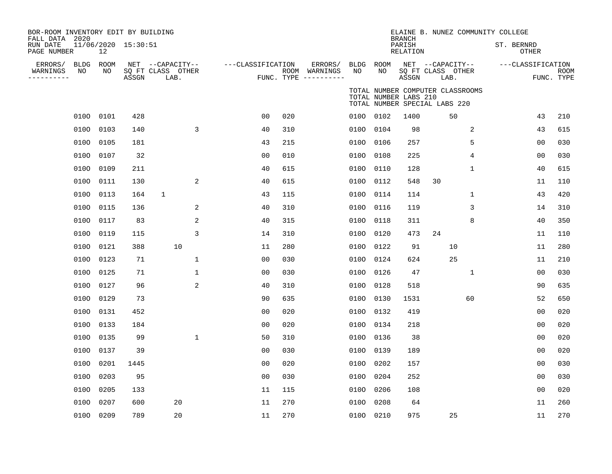| BOR-ROOM INVENTORY EDIT BY BUILDING<br>FALL DATA 2020 |                 |                     |                                               |                   |     |                                                 |                 |                       | <b>BRANCH</b>             | ELAINE B. NUNEZ COMMUNITY COLLEGE                                 |              |                            |                           |
|-------------------------------------------------------|-----------------|---------------------|-----------------------------------------------|-------------------|-----|-------------------------------------------------|-----------------|-----------------------|---------------------------|-------------------------------------------------------------------|--------------|----------------------------|---------------------------|
| RUN DATE<br>PAGE NUMBER                               | 12              | 11/06/2020 15:30:51 |                                               |                   |     |                                                 |                 |                       | PARISH<br><b>RELATION</b> |                                                                   |              | ST. BERNRD<br><b>OTHER</b> |                           |
| ERRORS/<br>NO<br>WARNINGS<br>----------               | BLDG ROOM<br>NO | ASSGN               | NET --CAPACITY--<br>SQ FT CLASS OTHER<br>LAB. | ---CLASSIFICATION |     | ERRORS/<br>ROOM WARNINGS<br>FUNC. TYPE $------$ | BLDG ROOM<br>NO | NO                    | ASSGN                     | NET --CAPACITY--<br>SQ FT CLASS OTHER<br>LAB.                     |              | ---CLASSIFICATION          | <b>ROOM</b><br>FUNC. TYPE |
|                                                       |                 |                     |                                               |                   |     |                                                 |                 | TOTAL NUMBER LABS 210 |                           | TOTAL NUMBER COMPUTER CLASSROOMS<br>TOTAL NUMBER SPECIAL LABS 220 |              |                            |                           |
|                                                       | 0100 0101       | 428                 |                                               | 0 <sub>0</sub>    | 020 |                                                 | 0100 0102       |                       | 1400                      | 50                                                                |              | 43                         | 210                       |
|                                                       | 0100 0103       | 140                 | 3                                             | 40                | 310 |                                                 |                 | 0100 0104             | 98                        |                                                                   | 2            | 43                         | 615                       |
| 0100                                                  | 0105            | 181                 |                                               | 43                | 215 |                                                 | 0100            | 0106                  | 257                       |                                                                   | 5            | 0 <sub>0</sub>             | 030                       |
|                                                       | 0100 0107       | 32                  |                                               | 0 <sub>0</sub>    | 010 |                                                 |                 | 0100 0108             | 225                       |                                                                   | 4            | 0 <sub>0</sub>             | 030                       |
|                                                       | 0100 0109       | 211                 |                                               | 40                | 615 |                                                 | 0100            | 0110                  | 128                       |                                                                   | $\mathbf{1}$ | 40                         | 615                       |
|                                                       | 0100 0111       | 130                 | 2                                             | 40                | 615 |                                                 | 0100            | 0112                  | 548                       | 30                                                                |              | 11                         | 110                       |
| 0100                                                  | 0113            | 164                 | $\mathbf{1}$                                  | 43                | 115 |                                                 | 0100            | 0114                  | 114                       |                                                                   | 1            | 43                         | 420                       |
| 0100                                                  | 0115            | 136                 | 2                                             | 40                | 310 |                                                 |                 | 0100 0116             | 119                       |                                                                   | 3            | 14                         | 310                       |
| 0100                                                  | 0117            | 83                  | 2                                             | 40                | 315 |                                                 |                 | 0100 0118             | 311                       |                                                                   | 8            | 40                         | 350                       |
| 0100                                                  | 0119            | 115                 | 3                                             | 14                | 310 |                                                 |                 | 0100 0120             | 473                       | 24                                                                |              | 11                         | 110                       |
| 0100                                                  | 0121            | 388                 | 10                                            | 11                | 280 |                                                 |                 | 0100 0122             | 91                        | 10                                                                |              | 11                         | 280                       |
| 0100                                                  | 0123            | 71                  | $\mathbf{1}$                                  | 0 <sub>0</sub>    | 030 |                                                 |                 | 0100 0124             | 624                       | 25                                                                |              | 11                         | 210                       |
|                                                       | 0100 0125       | 71                  | $\mathbf 1$                                   | 0 <sub>0</sub>    | 030 |                                                 |                 | 0100 0126             | 47                        |                                                                   | 1            | 0 <sub>0</sub>             | 030                       |
|                                                       | 0100 0127       | 96                  | 2                                             | 40                | 310 |                                                 | 0100            | 0128                  | 518                       |                                                                   |              | 90                         | 635                       |
|                                                       | 0100 0129       | 73                  |                                               | 90                | 635 |                                                 |                 | 0100 0130             | 1531                      |                                                                   | 60           | 52                         | 650                       |
|                                                       | 0100 0131       | 452                 |                                               | 0 <sub>0</sub>    | 020 |                                                 | 0100            | 0132                  | 419                       |                                                                   |              | 0 <sub>0</sub>             | 020                       |
|                                                       | 0100 0133       | 184                 |                                               | 0 <sub>0</sub>    | 020 |                                                 |                 | 0100 0134             | 218                       |                                                                   |              | 0 <sub>0</sub>             | 020                       |
| 0100                                                  | 0135            | 99                  | $\mathbf{1}$                                  | 50                | 310 |                                                 | 0100            | 0136                  | 38                        |                                                                   |              | 0 <sub>0</sub>             | 020                       |
|                                                       | 0100 0137       | 39                  |                                               | 0 <sub>0</sub>    | 030 |                                                 |                 | 0100 0139             | 189                       |                                                                   |              | 0 <sub>0</sub>             | 020                       |
| 0100                                                  | 0201            | 1445                |                                               | 0 <sub>0</sub>    | 020 |                                                 | 0100            | 0202                  | 157                       |                                                                   |              | 0 <sub>0</sub>             | 030                       |
|                                                       | 0100 0203       | 95                  |                                               | 0 <sub>0</sub>    | 030 |                                                 |                 | 0100 0204             | 252                       |                                                                   |              | 0 <sub>0</sub>             | 030                       |
| 0100                                                  | 0205            | 133                 |                                               | 11                | 115 |                                                 | 0100            | 0206                  | 108                       |                                                                   |              | 00                         | 020                       |
| 0100                                                  | 0207            | 600                 | 20                                            | 11                | 270 |                                                 | 0100            | 0208                  | 64                        |                                                                   |              | 11                         | 260                       |
|                                                       | 0100 0209       | 789                 | 20                                            | 11                | 270 |                                                 | 0100 0210       |                       | 975                       | 25                                                                |              | 11                         | 270                       |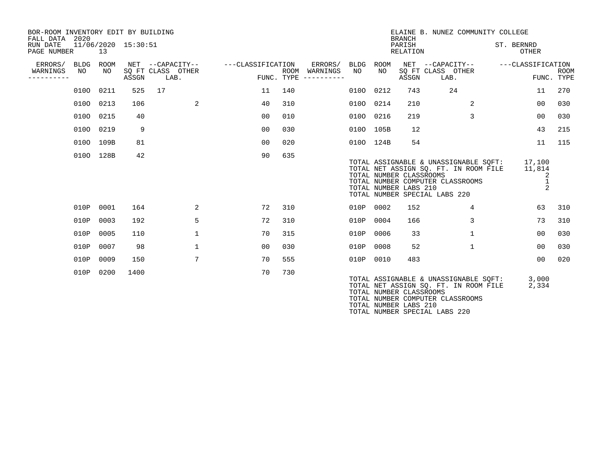| BOR-ROOM INVENTORY EDIT BY BUILDING<br>FALL DATA 2020<br>11/06/2020 15:30:51<br>RUN DATE<br>PAGE NUMBER<br>13 |      |            |       |    |                                               |                   |            |                                              |           |                                                  | ELAINE B. NUNEZ COMMUNITY COLLEGE<br><b>BRANCH</b><br>PARISH<br>RELATION |                                                                                                                                                     |                                            | ST. BERNRD<br><b>OTHER</b> |  |
|---------------------------------------------------------------------------------------------------------------|------|------------|-------|----|-----------------------------------------------|-------------------|------------|----------------------------------------------|-----------|--------------------------------------------------|--------------------------------------------------------------------------|-----------------------------------------------------------------------------------------------------------------------------------------------------|--------------------------------------------|----------------------------|--|
| ERRORS/ BLDG<br>WARNINGS<br>----------                                                                        | NO   | ROOM<br>NO | ASSGN |    | NET --CAPACITY--<br>SQ FT CLASS OTHER<br>LAB. | ---CLASSIFICATION | FUNC. TYPE | ERRORS/ BLDG<br>ROOM WARNINGS<br>----------- | NO        | ROOM<br>NO                                       | ASSGN                                                                    | NET --CAPACITY-- ---CLASSIFICATION<br>SQ FT CLASS OTHER<br>LAB.                                                                                     |                                            | <b>ROOM</b><br>FUNC. TYPE  |  |
|                                                                                                               |      | 0100 0211  | 525   | 17 |                                               | 11                | 140        |                                              | 0100 0212 |                                                  | 743                                                                      | 24                                                                                                                                                  | 11                                         | 270                        |  |
|                                                                                                               |      | 0100 0213  | 106   |    | 2                                             | 40                | 310        |                                              |           | 0100 0214                                        | 210                                                                      | 2                                                                                                                                                   | 00                                         | 030                        |  |
|                                                                                                               | 0100 | 0215       | 40    |    |                                               | 0 <sub>0</sub>    | 010        |                                              |           | 0100 0216                                        | 219                                                                      | $\overline{3}$                                                                                                                                      | 0 <sub>0</sub>                             | 030                        |  |
|                                                                                                               |      | 0100 0219  | 9     |    |                                               | 0 <sub>0</sub>    | 030        |                                              |           | 0100 105B                                        | 12                                                                       |                                                                                                                                                     | 43                                         | 215                        |  |
|                                                                                                               |      | 0100 109B  | 81    |    |                                               | 0 <sub>0</sub>    | 020        |                                              |           | 0100 124B                                        | 54                                                                       |                                                                                                                                                     | 11                                         | 115                        |  |
|                                                                                                               |      | 0100 128B  | 42    |    |                                               | 90                | 635        |                                              |           | TOTAL NUMBER CLASSROOMS<br>TOTAL NUMBER LABS 210 |                                                                          | TOTAL ASSIGNABLE & UNASSIGNABLE SOFT:<br>TOTAL NET ASSIGN SQ. FT. IN ROOM FILE<br>TOTAL NUMBER COMPUTER CLASSROOMS<br>TOTAL NUMBER SPECIAL LABS 220 | 17,100<br>11,814<br>2<br>$\mathbf{1}$<br>2 |                            |  |
|                                                                                                               | 010P | 0001       | 164   |    | 2                                             | 72                | 310        |                                              | 010P      | 0002                                             | 152                                                                      | $\overline{4}$                                                                                                                                      | 63                                         | 310                        |  |
|                                                                                                               | 010P | 0003       | 192   |    | 5                                             | 72                | 310        |                                              | 010P      | 0004                                             | 166                                                                      | 3                                                                                                                                                   | 73                                         | 310                        |  |
|                                                                                                               | 010P | 0005       | 110   |    | $\mathbf{1}$                                  | 70                | 315        |                                              | 010P      | 0006                                             | 33                                                                       | $\mathbf{1}$                                                                                                                                        | 0 <sub>0</sub>                             | 030                        |  |
|                                                                                                               | 010P | 0007       | 98    |    | $\mathbf{1}$                                  | 00                | 030        |                                              | 010P      | 0008                                             | 52                                                                       | $\mathbf{1}$                                                                                                                                        | 0 <sub>0</sub>                             | 030                        |  |
|                                                                                                               | 010P | 0009       | 150   |    | $7\phantom{.0}$                               | 70                | 555        |                                              | 010P      | 0010                                             | 483                                                                      |                                                                                                                                                     | 0 <sup>0</sup>                             | 020                        |  |
|                                                                                                               | 010P | 0200       | 1400  |    |                                               | 70                | 730        |                                              |           | TOTAL NUMBER CLASSROOMS<br>TOTAL NUMBER LABS 210 |                                                                          | TOTAL ASSIGNABLE & UNASSIGNABLE SOFT:<br>TOTAL NET ASSIGN SO. FT. IN ROOM FILE<br>TOTAL NUMBER COMPUTER CLASSROOMS                                  | 3,000<br>2,334                             |                            |  |

TOTAL NUMBER SPECIAL LABS 220